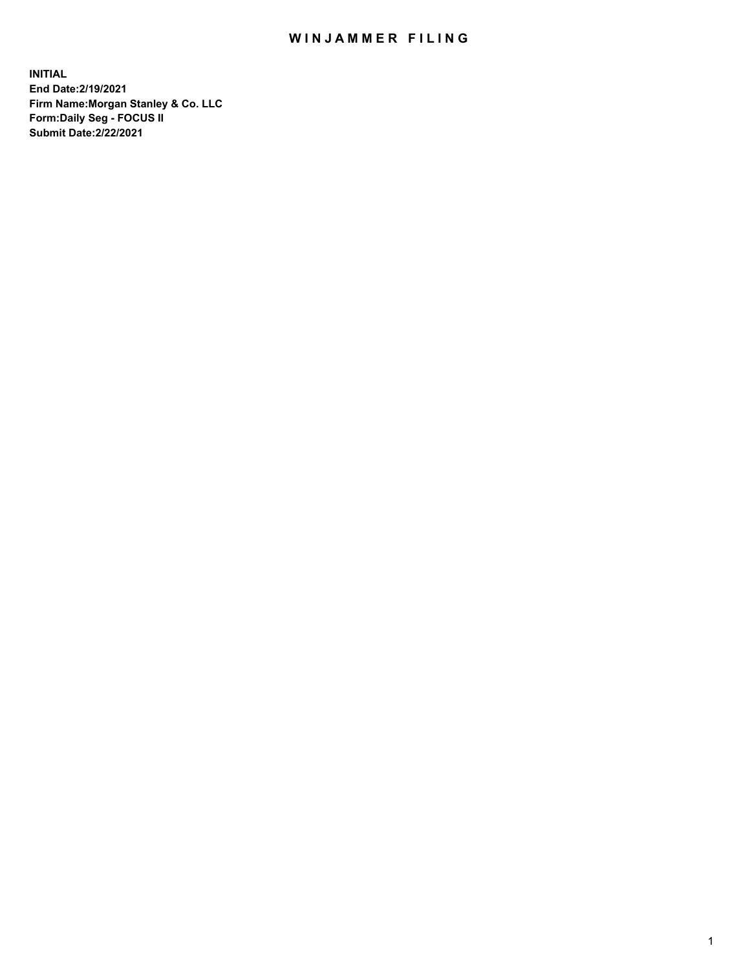## WIN JAMMER FILING

**INITIAL End Date:2/19/2021 Firm Name:Morgan Stanley & Co. LLC Form:Daily Seg - FOCUS II Submit Date:2/22/2021**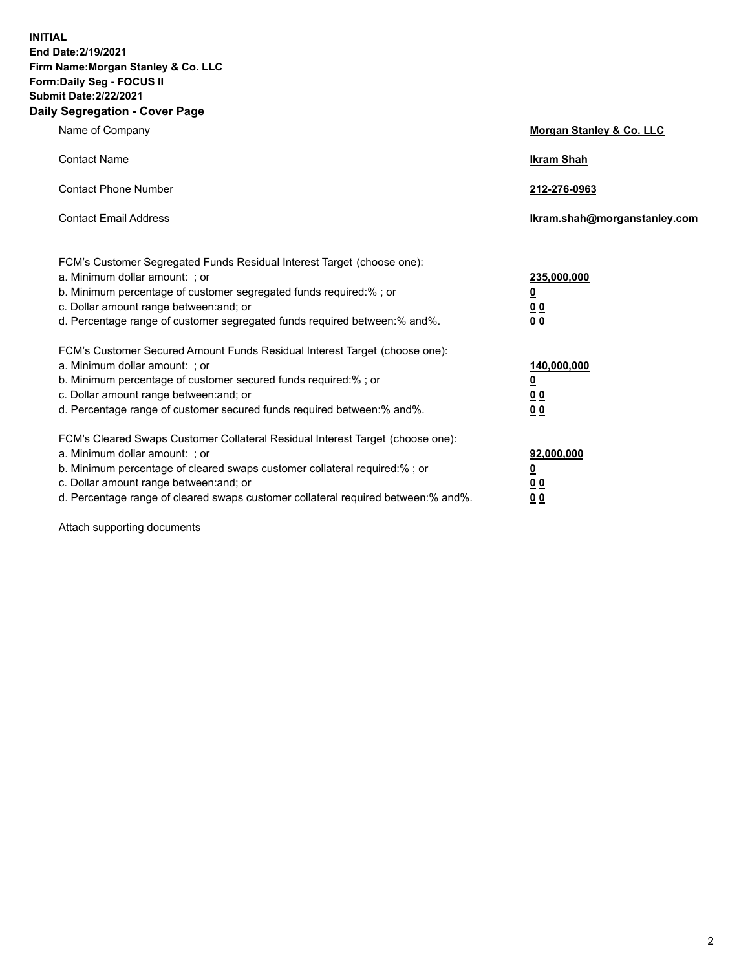**INITIAL End Date:2/19/2021 Firm Name:Morgan Stanley & Co. LLC Form:Daily Seg - FOCUS II Submit Date:2/22/2021 Daily Segregation - Cover Page**

| Name of Company                                                                                                                                                                                                                                                                                                                | Morgan Stanley & Co. LLC                                    |
|--------------------------------------------------------------------------------------------------------------------------------------------------------------------------------------------------------------------------------------------------------------------------------------------------------------------------------|-------------------------------------------------------------|
| <b>Contact Name</b>                                                                                                                                                                                                                                                                                                            | <b>Ikram Shah</b>                                           |
| <b>Contact Phone Number</b>                                                                                                                                                                                                                                                                                                    | 212-276-0963                                                |
| <b>Contact Email Address</b>                                                                                                                                                                                                                                                                                                   | Ikram.shah@morganstanley.com                                |
| FCM's Customer Segregated Funds Residual Interest Target (choose one):<br>a. Minimum dollar amount: ; or<br>b. Minimum percentage of customer segregated funds required:% ; or<br>c. Dollar amount range between: and; or<br>d. Percentage range of customer segregated funds required between: % and %.                       | 235,000,000<br><u>0</u><br>00<br>0 <sub>0</sub>             |
| FCM's Customer Secured Amount Funds Residual Interest Target (choose one):<br>a. Minimum dollar amount: ; or<br>b. Minimum percentage of customer secured funds required:%; or<br>c. Dollar amount range between: and; or<br>d. Percentage range of customer secured funds required between:% and%.                            | 140,000,000<br><u>0</u><br>0 <sub>0</sub><br>0 <sub>0</sub> |
| FCM's Cleared Swaps Customer Collateral Residual Interest Target (choose one):<br>a. Minimum dollar amount: ; or<br>b. Minimum percentage of cleared swaps customer collateral required:% ; or<br>c. Dollar amount range between: and; or<br>d. Percentage range of cleared swaps customer collateral required between:% and%. | 92,000,000<br><u>0</u><br>0 Q<br>0 <sub>0</sub>             |

Attach supporting documents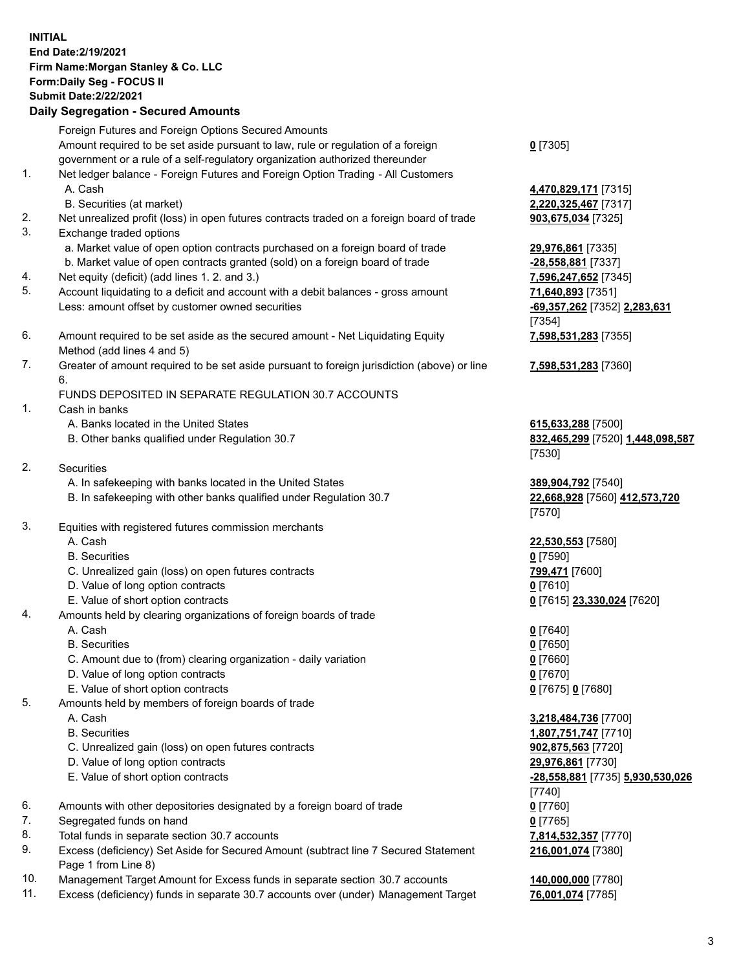## **INITIAL End Date:2/19/2021 Firm Name:Morgan Stanley & Co. LLC Form:Daily Seg - FOCUS II Submit Date:2/22/2021**

## **Daily Segregation - Secured Amounts**

Foreign Futures and Foreign Options Secured Amounts Amount required to be set aside pursuant to law, rule or regulation of a foreign government or a rule of a self-regulatory organization authorized thereunder 1. Net ledger balance - Foreign Futures and Foreign Option Trading - All Customers A. Cash **4,470,829,171** [7315] B. Securities (at market) **2,220,325,467** [7317] 2. Net unrealized profit (loss) in open futures contracts traded on a foreign board of trade **903,675,034** [7325] 3. Exchange traded options a. Market value of open option contracts purchased on a foreign board of trade **29,976,861** [7335] b. Market value of open contracts granted (sold) on a foreign board of trade **-28,558,881** [7337] 4. Net equity (deficit) (add lines 1. 2. and 3.) **7,596,247,652** [7345] 5. Account liquidating to a deficit and account with a debit balances - gross amount **71,640,893** [7351]

- Less: amount offset by customer owned securities **-69,357,262** [7352] **2,283,631**
- 6. Amount required to be set aside as the secured amount Net Liquidating Equity Method (add lines 4 and 5)
- 7. Greater of amount required to be set aside pursuant to foreign jurisdiction (above) or line 6.

## FUNDS DEPOSITED IN SEPARATE REGULATION 30.7 ACCOUNTS

- 1. Cash in banks
	- A. Banks located in the United States **615,633,288** [7500]
	- B. Other banks qualified under Regulation 30.7 **832,465,299** [7520] **1,448,098,587**
- 2. Securities
	- A. In safekeeping with banks located in the United States **389,904,792** [7540]
	- B. In safekeeping with other banks qualified under Regulation 30.7 **22,668,928** [7560] **412,573,720**
- 3. Equities with registered futures commission merchants
	-
	- B. Securities **0** [7590]
	- C. Unrealized gain (loss) on open futures contracts **799,471** [7600]
	- D. Value of long option contracts **0** [7610]
	- E. Value of short option contracts **0** [7615] **23,330,024** [7620]
- 4. Amounts held by clearing organizations of foreign boards of trade
	-
	- B. Securities **0** [7650]
	- C. Amount due to (from) clearing organization daily variation **0** [7660]
	- D. Value of long option contracts **0** [7670]
	- E. Value of short option contracts **0** [7675] **0** [7680]
- 5. Amounts held by members of foreign boards of trade
	-
	-
	- C. Unrealized gain (loss) on open futures contracts **902,875,563** [7720]
	- D. Value of long option contracts **29,976,861** [7730]
	-
- 6. Amounts with other depositories designated by a foreign board of trade **0** [7760]
- 7. Segregated funds on hand **0** [7765]
- 8. Total funds in separate section 30.7 accounts **7,814,532,357** [7770]
- 9. Excess (deficiency) Set Aside for Secured Amount (subtract line 7 Secured Statement Page 1 from Line 8)
- 10. Management Target Amount for Excess funds in separate section 30.7 accounts **140,000,000** [7780]
- 11. Excess (deficiency) funds in separate 30.7 accounts over (under) Management Target **76,001,074** [7785]

**0** [7305]

[7354] **7,598,531,283** [7355]

**7,598,531,283** [7360]

[7530]

[7570]

A. Cash **22,530,553** [7580]

A. Cash **0** [7640]

 A. Cash **3,218,484,736** [7700] B. Securities **1,807,751,747** [7710] E. Value of short option contracts **-28,558,881** [7735] **5,930,530,026** [7740] **216,001,074** [7380]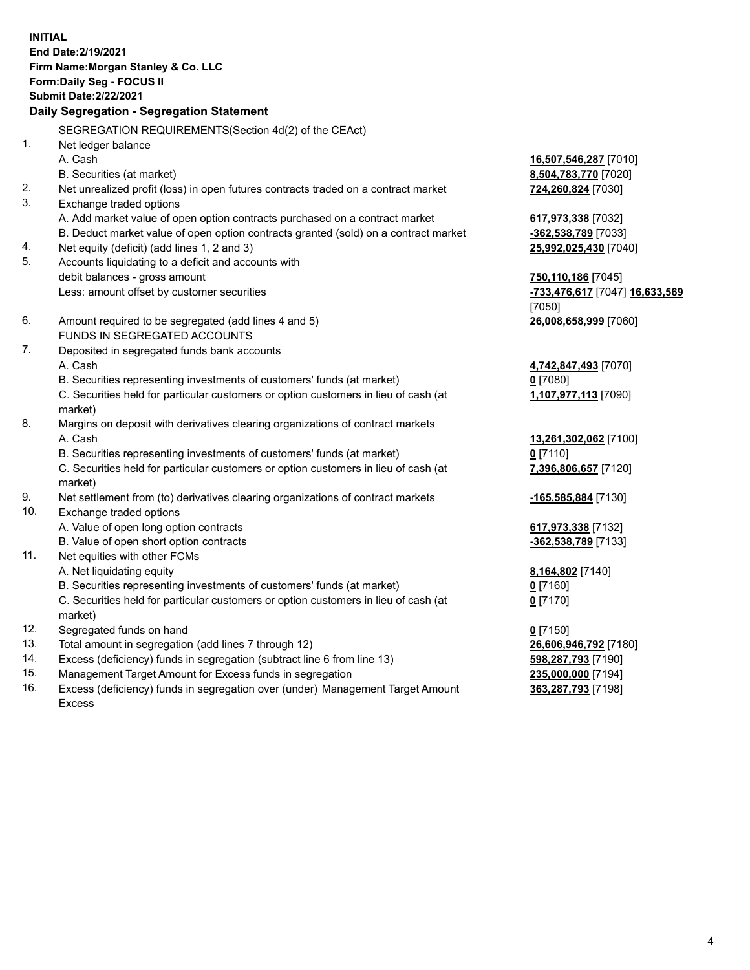**INITIAL End Date:2/19/2021 Firm Name:Morgan Stanley & Co. LLC Form:Daily Seg - FOCUS II Submit Date:2/22/2021 Daily Segregation - Segregation Statement** SEGREGATION REQUIREMENTS(Section 4d(2) of the CEAct) 1. Net ledger balance A. Cash **16,507,546,287** [7010] B. Securities (at market) **8,504,783,770** [7020] 2. Net unrealized profit (loss) in open futures contracts traded on a contract market **724,260,824** [7030] 3. Exchange traded options A. Add market value of open option contracts purchased on a contract market **617,973,338** [7032] B. Deduct market value of open option contracts granted (sold) on a contract market **-362,538,789** [7033] 4. Net equity (deficit) (add lines 1, 2 and 3) **25,992,025,430** [7040] 5. Accounts liquidating to a deficit and accounts with debit balances - gross amount **750,110,186** [7045] Less: amount offset by customer securities **-733,476,617** [7047] **16,633,569** [7050] 6. Amount required to be segregated (add lines 4 and 5) **26,008,658,999** [7060] FUNDS IN SEGREGATED ACCOUNTS 7. Deposited in segregated funds bank accounts A. Cash **4,742,847,493** [7070] B. Securities representing investments of customers' funds (at market) **0** [7080] C. Securities held for particular customers or option customers in lieu of cash (at market) **1,107,977,113** [7090] 8. Margins on deposit with derivatives clearing organizations of contract markets A. Cash **13,261,302,062** [7100] B. Securities representing investments of customers' funds (at market) **0** [7110] C. Securities held for particular customers or option customers in lieu of cash (at market) **7,396,806,657** [7120] 9. Net settlement from (to) derivatives clearing organizations of contract markets **-165,585,884** [7130] 10. Exchange traded options A. Value of open long option contracts **617,973,338** [7132] B. Value of open short option contracts **-362,538,789** [7133] 11. Net equities with other FCMs A. Net liquidating equity **8,164,802** [7140] B. Securities representing investments of customers' funds (at market) **0** [7160] C. Securities held for particular customers or option customers in lieu of cash (at market) **0** [7170] 12. Segregated funds on hand **0** [7150] 13. Total amount in segregation (add lines 7 through 12) **26,606,946,792** [7180] 14. Excess (deficiency) funds in segregation (subtract line 6 from line 13) **598,287,793** [7190]

- 15. Management Target Amount for Excess funds in segregation **235,000,000** [7194]
- 16. Excess (deficiency) funds in segregation over (under) Management Target Amount Excess

**363,287,793** [7198]